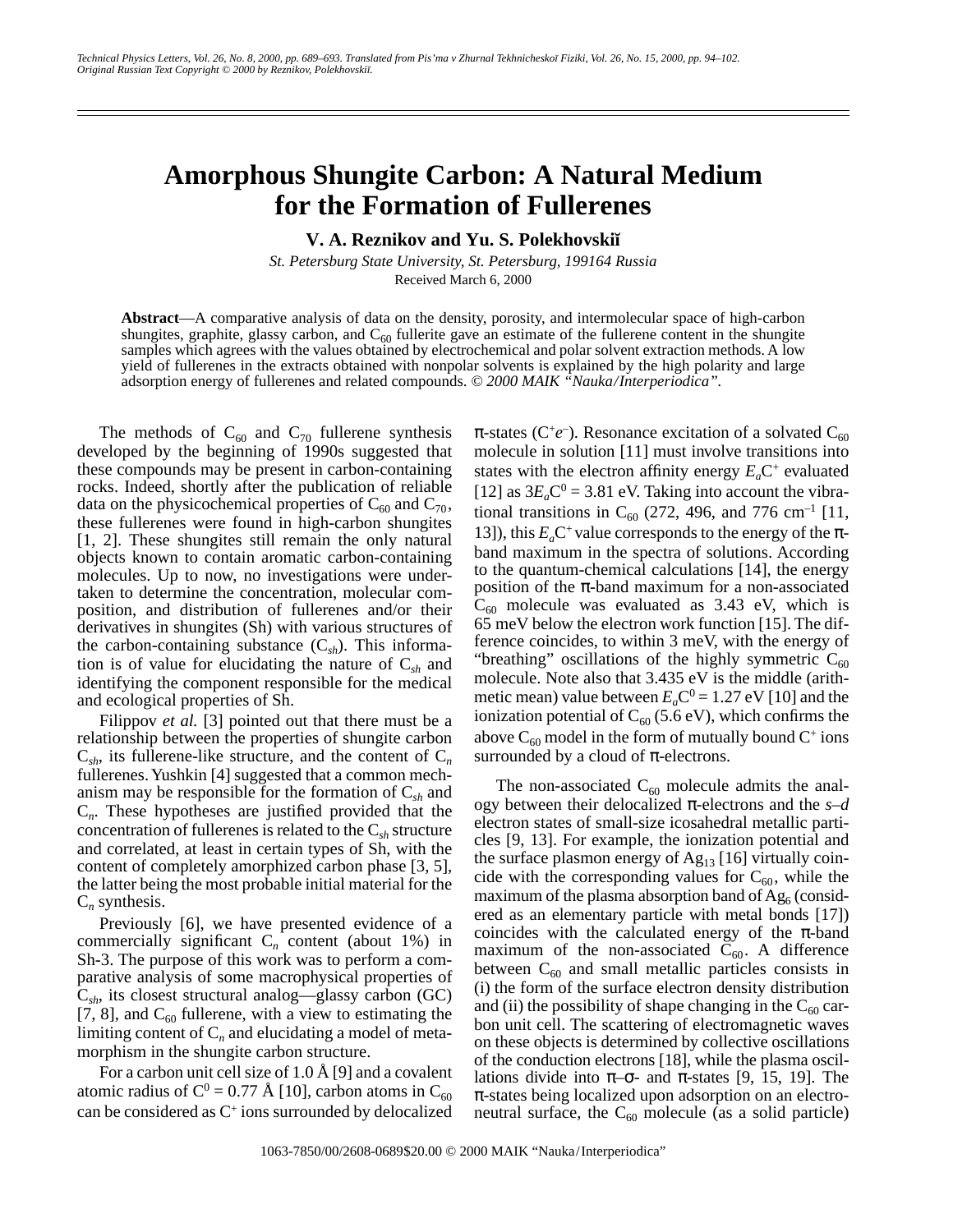## **Amorphous Shungite Carbon: A Natural Medium for the Formation of Fullerenes**

**V. A. Reznikov and Yu. S. Polekhovskiœ**

*St. Petersburg State University, St. Petersburg, 199164 Russia* Received March 6, 2000

**Abstract**—A comparative analysis of data on the density, porosity, and intermolecular space of high-carbon shungites, graphite, glassy carbon, and  $C_{60}$  fullerite gave an estimate of the fullerene content in the shungite samples which agrees with the values obtained by electrochemical and polar solvent extraction methods. A low yield of fullerenes in the extracts obtained with nonpolar solvents is explained by the high polarity and large adsorption energy of fullerenes and related compounds. *© 2000 MAIK "Nauka/Interperiodica".*

The methods of  $C_{60}$  and  $C_{70}$  fullerene synthesis developed by the beginning of 1990s suggested that these compounds may be present in carbon-containing rocks. Indeed, shortly after the publication of reliable data on the physicochemical properties of  $C_{60}$  and  $C_{70}$ , these fullerenes were found in high-carbon shungites [1, 2]. These shungites still remain the only natural objects known to contain aromatic carbon-containing molecules. Up to now, no investigations were undertaken to determine the concentration, molecular composition, and distribution of fullerenes and/or their derivatives in shungites (Sh) with various structures of the carbon-containing substance  $(C_{sh})$ . This information is of value for elucidating the nature of C*sh* and identifying the component responsible for the medical and ecological properties of Sh.

Filippov *et al.* [3] pointed out that there must be a relationship between the properties of shungite carbon  $C_{sh}$ , its fullerene-like structure, and the content of  $C_n$ fullerenes. Yushkin [4] suggested that a common mechanism may be responsible for the formation of C*sh* and C*n*. These hypotheses are justified provided that the concentration of fullerenes is related to the C*sh* structure and correlated, at least in certain types of Sh, with the content of completely amorphized carbon phase [3, 5], the latter being the most probable initial material for the C*n* synthesis.

Previously [6], we have presented evidence of a commercially significant  $C_n$  content (about 1%) in Sh-3. The purpose of this work was to perform a comparative analysis of some macrophysical properties of C*sh*, its closest structural analog—glassy carbon (GC) [7, 8], and  $C_{60}$  fullerene, with a view to estimating the limiting content of  $C_n$  and elucidating a model of metamorphism in the shungite carbon structure.

For a carbon unit cell size of 1.0 Å [9] and a covalent atomic radius of C<sup>0</sup> = 0.77 Å [10], carbon atoms in C<sub>60</sub> can be considered as  $C^+$  ions surrounded by delocalized

 $\pi$ -states (C<sup>+</sup>e<sup>-</sup>). Resonance excitation of a solvated C<sub>60</sub> molecule in solution [11] must involve transitions into states with the electron affinity energy  $E_aC^+$  evaluated [12] as  $3E_aC^0 = 3.81$  eV. Taking into account the vibrational transitions in  $C_{60}$  (272, 496, and 776 cm<sup>-1</sup> [11, 13]), this  $E_a C^+$  value corresponds to the energy of the  $\pi$ band maximum in the spectra of solutions. According to the quantum-chemical calculations [14], the energy position of the  $\pi$ -band maximum for a non-associated  $C_{60}$  molecule was evaluated as 3.43 eV, which is 65 meV below the electron work function [15]. The difference coincides, to within 3 meV, with the energy of "breathing" oscillations of the highly symmetric  $C_{60}$ molecule. Note also that 3.435 eV is the middle (arithmetic mean) value between  $E_a C^0 = 1.27 \text{ eV}$  [10] and the ionization potential of  $C_{60}$  (5.6 eV), which confirms the above  $C_{60}$  model in the form of mutually bound  $C^+$  ions surrounded by a cloud of  $\pi$ -electrons.

The non-associated  $C_{60}$  molecule admits the analogy between their delocalized π-electrons and the *s*–*d* electron states of small-size icosahedral metallic particles [9, 13]. For example, the ionization potential and the surface plasmon energy of  $Ag_{13}$  [16] virtually coincide with the corresponding values for  $C_{60}$ , while the maximum of the plasma absorption band of  $Ag<sub>6</sub>$  (considered as an elementary particle with metal bonds [17]) coincides with the calculated energy of the  $\pi$ -band maximum of the non-associated  $C_{60}$ . A difference between  $C_{60}$  and small metallic particles consists in (i) the form of the surface electron density distribution and (ii) the possibility of shape changing in the  $C_{60}$  carbon unit cell. The scattering of electromagnetic waves on these objects is determined by collective oscillations of the conduction electrons [18], while the plasma oscillations divide into  $\pi$ – $\sigma$ - and  $\pi$ -states [9, 15, 19]. The π-states being localized upon adsorption on an electroneutral surface, the  $C_{60}$  molecule (as a solid particle)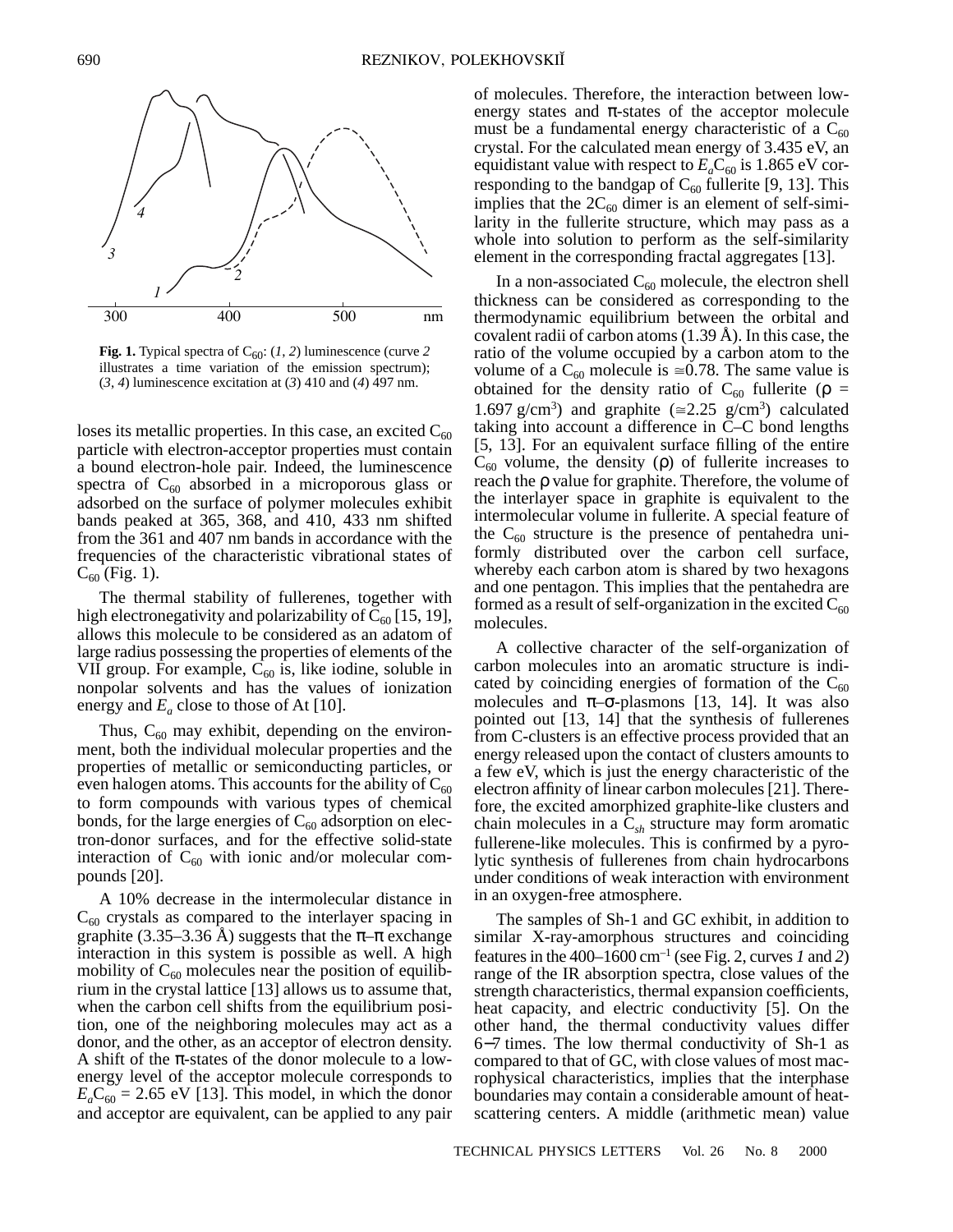

**Fig. 1.** Typical spectra of  $C_{60}$ : (1, 2) luminescence (curve 2) illustrates a time variation of the emission spectrum);  $(3, 4)$  luminescence excitation at  $(3)$  410 and  $(4)$  497 nm.

loses its metallic properties. In this case, an excited  $C_{60}$ particle with electron-acceptor properties must contain a bound electron-hole pair. Indeed, the luminescence spectra of  $C_{60}$  absorbed in a microporous glass or adsorbed on the surface of polymer molecules exhibit bands peaked at 365, 368, and 410, 433 nm shifted from the 361 and 407 nm bands in accordance with the frequencies of the characteristic vibrational states of  $C_{60}$  (Fig. 1).

The thermal stability of fullerenes, together with high electronegativity and polarizability of  $C_{60}$  [15, 19], allows this molecule to be considered as an adatom of large radius possessing the properties of elements of the VII group. For example,  $C_{60}$  is, like iodine, soluble in nonpolar solvents and has the values of ionization energy and  $E_a$  close to those of At [10].

Thus,  $C_{60}$  may exhibit, depending on the environment, both the individual molecular properties and the properties of metallic or semiconducting particles, or even halogen atoms. This accounts for the ability of  $C_{60}$ to form compounds with various types of chemical bonds, for the large energies of  $C_{60}$  adsorption on electron-donor surfaces, and for the effective solid-state interaction of  $C_{60}$  with ionic and/or molecular compounds [20].

A 10% decrease in the intermolecular distance in  $C_{60}$  crystals as compared to the interlayer spacing in graphite (3.35–3.36 Å) suggests that the  $\pi-\pi$  exchange interaction in this system is possible as well. A high mobility of  $C_{60}$  molecules near the position of equilibrium in the crystal lattice [13] allows us to assume that, when the carbon cell shifts from the equilibrium position, one of the neighboring molecules may act as a donor, and the other, as an acceptor of electron density. A shift of the  $\pi$ -states of the donor molecule to a lowenergy level of the acceptor molecule corresponds to  $E_aC_{60} = 2.65$  eV [13]. This model, in which the donor and acceptor are equivalent, can be applied to any pair of molecules. Therefore, the interaction between lowenergy states and  $\pi$ -states of the acceptor molecule must be a fundamental energy characteristic of a  $C_{60}$ crystal. For the calculated mean energy of 3.435 eV, an equidistant value with respect to  $E_a C_{60}$  is 1.865 eV corresponding to the bandgap of  $C_{60}$  fullerite [9, 13]. This implies that the  $2C_{60}$  dimer is an element of self-similarity in the fullerite structure, which may pass as a whole into solution to perform as the self-similarity element in the corresponding fractal aggregates [13].

In a non-associated  $C_{60}$  molecule, the electron shell thickness can be considered as corresponding to the thermodynamic equilibrium between the orbital and covalent radii of carbon atoms (1.39 Å). In this case, the ratio of the volume occupied by a carbon atom to the volume of a  $C_{60}$  molecule is  $\approx 0.78$ . The same value is obtained for the density ratio of  $C_{60}$  fullerite ( $\rho =$ 1.697 g/cm<sup>3</sup>) and graphite ( $\approx$ 2.25 g/cm<sup>3</sup>) calculated taking into account a difference in C–C bond lengths [5, 13]. For an equivalent surface filling of the entire  $C_{60}$  volume, the density (ρ) of fullerite increases to reach the ρ value for graphite. Therefore, the volume of the interlayer space in graphite is equivalent to the intermolecular volume in fullerite. A special feature of the  $C_{60}$  structure is the presence of pentahedra uniformly distributed over the carbon cell surface, whereby each carbon atom is shared by two hexagons and one pentagon. This implies that the pentahedra are formed as a result of self-organization in the excited  $C_{60}$ molecules.

A collective character of the self-organization of carbon molecules into an aromatic structure is indicated by coinciding energies of formation of the  $C_{60}$ molecules and  $\pi$ -σ-plasmons [13, 14]. It was also pointed out [13, 14] that the synthesis of fullerenes from C-clusters is an effective process provided that an energy released upon the contact of clusters amounts to a few eV, which is just the energy characteristic of the electron affinity of linear carbon molecules [21]. Therefore, the excited amorphized graphite-like clusters and chain molecules in a C*sh* structure may form aromatic fullerene-like molecules. This is confirmed by a pyrolytic synthesis of fullerenes from chain hydrocarbons under conditions of weak interaction with environment in an oxygen-free atmosphere.

The samples of Sh-1 and GC exhibit, in addition to similar X-ray-amorphous structures and coinciding features in the 400–1600 cm<sup>-1</sup> (see Fig. 2, curves 1 and 2) range of the IR absorption spectra, close values of the strength characteristics, thermal expansion coefficients, heat capacity, and electric conductivity [5]. On the other hand, the thermal conductivity values differ 6−7 times. The low thermal conductivity of Sh-1 as compared to that of GC, with close values of most macrophysical characteristics, implies that the interphase boundaries may contain a considerable amount of heatscattering centers. A middle (arithmetic mean) value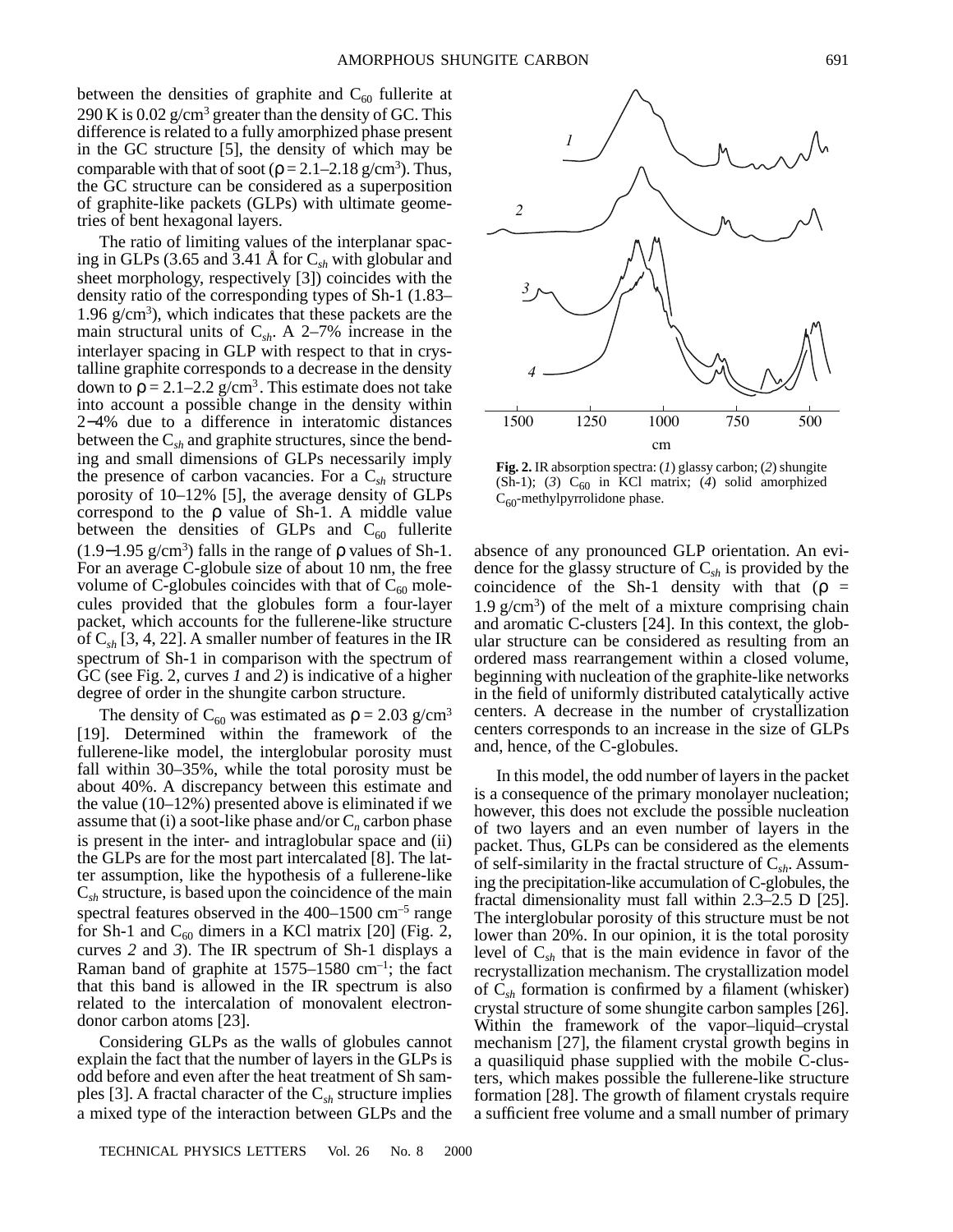between the densities of graphite and  $C_{60}$  fullerite at 290 K is 0.02  $g/cm^3$  greater than the density of GC. This difference is related to a fully amorphized phase present in the GC structure [5], the density of which may be comparable with that of soot ( $\rho = 2.1 - 2.18$  g/cm<sup>3</sup>). Thus, the GC structure can be considered as a superposition of graphite-like packets (GLPs) with ultimate geometries of bent hexagonal layers.

The ratio of limiting values of the interplanar spacing in GLPs (3.65 and 3.41 Å for C*sh* with globular and sheet morphology, respectively [3]) coincides with the density ratio of the corresponding types of Sh-1 (1.83– 1.96  $g/cm<sup>3</sup>$ ), which indicates that these packets are the main structural units of  $C_{sh}$ . A 2–7% increase in the interlayer spacing in GLP with respect to that in crystalline graphite corresponds to a decrease in the density down to  $\rho = 2.1 - 2.2$  g/cm<sup>3</sup>. This estimate does not take into account a possible change in the density within 2−4% due to a difference in interatomic distances between the C*sh* and graphite structures, since the bending and small dimensions of GLPs necessarily imply the presence of carbon vacancies. For a C*sh* structure porosity of 10–12% [5], the average density of GLPs correspond to the  $\rho$  value of Sh-1. A middle value between the densities of GLPs and  $C_{60}$  fullerite (1.9–1.95 g/cm<sup>3</sup>) falls in the range of  $\rho$  values of Sh-1. For an average C-globule size of about 10 nm, the free volume of C-globules coincides with that of  $C_{60}$  molecules provided that the globules form a four-layer packet, which accounts for the fullerene-like structure of C*sh* [3, 4, 22]. A smaller number of features in the IR spectrum of Sh-1 in comparison with the spectrum of GC (see Fig. 2, curves *1* and *2*) is indicative of a higher degree of order in the shungite carbon structure.

The density of C<sub>60</sub> was estimated as  $\rho = 2.03$  g/cm<sup>3</sup> [19]. Determined within the framework of the fullerene-like model, the interglobular porosity must fall within 30–35%, while the total porosity must be about 40%. A discrepancy between this estimate and the value  $(10-12\%)$  presented above is eliminated if we assume that (i) a soot-like phase and/or  $C_n$  carbon phase is present in the inter- and intraglobular space and (ii) the GLPs are for the most part intercalated [8]. The latter assumption, like the hypothesis of a fullerene-like C*sh* structure, is based upon the coincidence of the main spectral features observed in the 400–1500 cm<sup>-5</sup> range for Sh-1 and  $C_{60}$  dimers in a KCl matrix [20] (Fig. 2, curves *2* and *3*). The IR spectrum of Sh-1 displays a Raman band of graphite at 1575–1580 cm–1; the fact that this band is allowed in the IR spectrum is also related to the intercalation of monovalent electrondonor carbon atoms [23].

Considering GLPs as the walls of globules cannot explain the fact that the number of layers in the GLPs is odd before and even after the heat treatment of Sh samples [3]. A fractal character of the C*sh* structure implies a mixed type of the interaction between GLPs and the



**Fig. 2.** IR absorption spectra: (*1*) glassy carbon; (*2*) shungite (Sh-1); (3)  $C_{60}$  in KCl matrix; (4) solid amorphized  $C_{60}$ -methylpyrrolidone phase.

absence of any pronounced GLP orientation. An evidence for the glassy structure of C*sh* is provided by the coincidence of the Sh-1 density with that ( $\rho =$  $1.9 \text{ g/cm}^3$ ) of the melt of a mixture comprising chain and aromatic C-clusters [24]. In this context, the globular structure can be considered as resulting from an ordered mass rearrangement within a closed volume, beginning with nucleation of the graphite-like networks in the field of uniformly distributed catalytically active centers. A decrease in the number of crystallization centers corresponds to an increase in the size of GLPs and, hence, of the C-globules.

In this model, the odd number of layers in the packet is a consequence of the primary monolayer nucleation; however, this does not exclude the possible nucleation of two layers and an even number of layers in the packet. Thus, GLPs can be considered as the elements of self-similarity in the fractal structure of C*sh*. Assuming the precipitation-like accumulation of C-globules, the fractal dimensionality must fall within 2.3–2.5 D [25]. The interglobular porosity of this structure must be not lower than 20%. In our opinion, it is the total porosity level of C*sh* that is the main evidence in favor of the recrystallization mechanism. The crystallization model of C*sh* formation is confirmed by a filament (whisker) crystal structure of some shungite carbon samples [26]. Within the framework of the vapor–liquid–crystal mechanism [27], the filament crystal growth begins in a quasiliquid phase supplied with the mobile C-clusters, which makes possible the fullerene-like structure formation [28]. The growth of filament crystals require a sufficient free volume and a small number of primary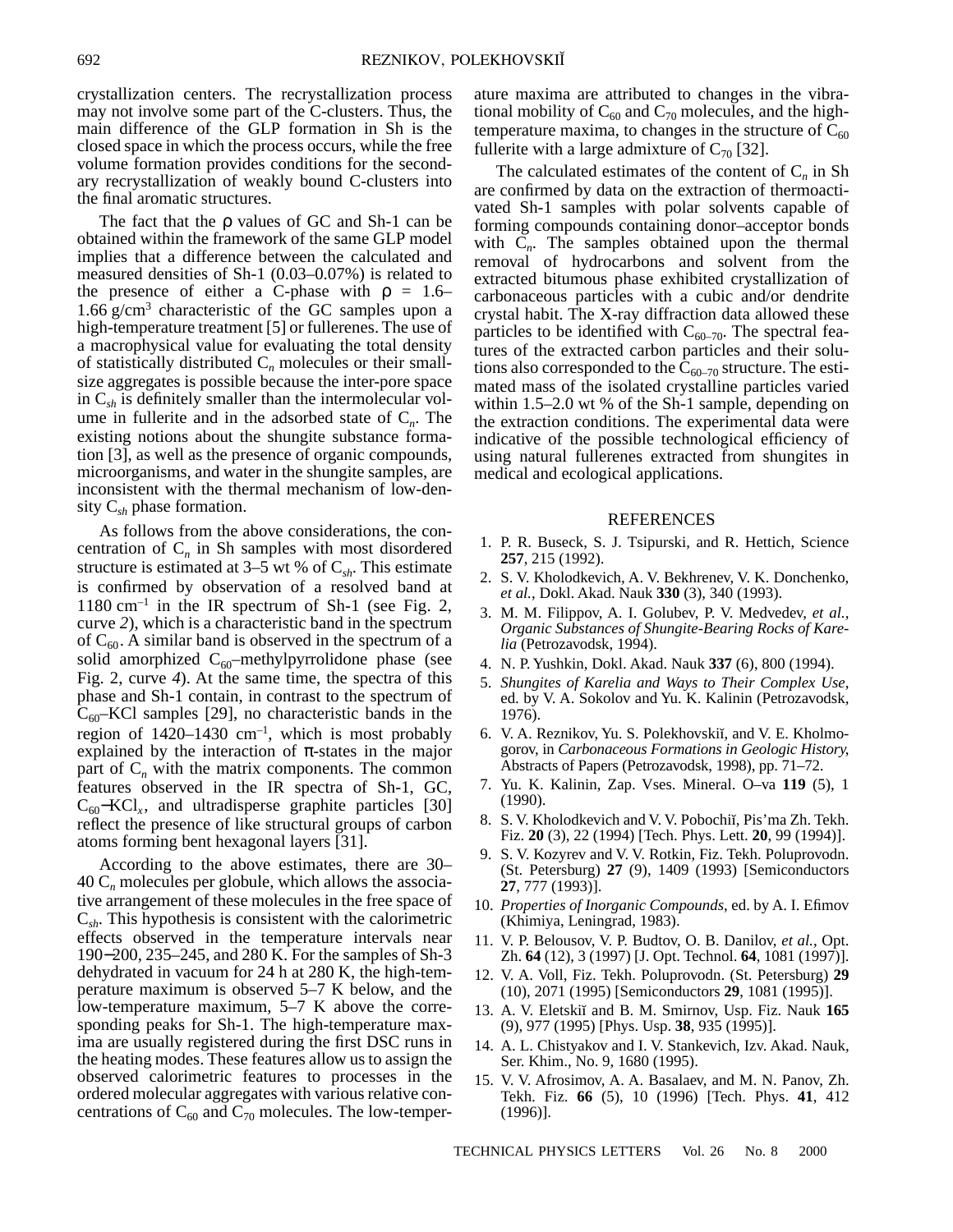crystallization centers. The recrystallization process may not involve some part of the C-clusters. Thus, the main difference of the GLP formation in Sh is the closed space in which the process occurs, while the free volume formation provides conditions for the secondary recrystallization of weakly bound C-clusters into the final aromatic structures.

The fact that the ρ values of GC and Sh-1 can be obtained within the framework of the same GLP model implies that a difference between the calculated and measured densities of Sh-1 (0.03–0.07%) is related to the presence of either a C-phase with  $\rho = 1.6$ – 1.66 g/cm3 characteristic of the GC samples upon a high-temperature treatment [5] or fullerenes. The use of a macrophysical value for evaluating the total density of statistically distributed C*n* molecules or their smallsize aggregates is possible because the inter-pore space in C*sh* is definitely smaller than the intermolecular volume in fullerite and in the adsorbed state of  $C_n$ . The existing notions about the shungite substance formation [3], as well as the presence of organic compounds, microorganisms, and water in the shungite samples, are inconsistent with the thermal mechanism of low-density C*sh* phase formation.

As follows from the above considerations, the concentration of C*n* in Sh samples with most disordered structure is estimated at 3–5 wt % of  $C_{sh}$ . This estimate is confirmed by observation of a resolved band at  $1180 \text{ cm}^{-1}$  in the IR spectrum of Sh-1 (see Fig. 2, curve *2*), which is a characteristic band in the spectrum of  $C_{60}$ . A similar band is observed in the spectrum of a solid amorphized  $C_{60}$ –methylpyrrolidone phase (see Fig. 2, curve *4*). At the same time, the spectra of this phase and Sh-1 contain, in contrast to the spectrum of  $C_{60}$ –KCl samples [29], no characteristic bands in the region of  $1420-1430$  cm<sup>-1</sup>, which is most probably explained by the interaction of  $\pi$ -states in the major part of  $C_n$  with the matrix components. The common features observed in the IR spectra of Sh-1, GC,  $C_{60}$ –KCl<sub>x</sub>, and ultradisperse graphite particles [30] reflect the presence of like structural groups of carbon atoms forming bent hexagonal layers [31].

According to the above estimates, there are 30–  $40 \, \text{C}_n$  molecules per globule, which allows the associative arrangement of these molecules in the free space of C*sh*. This hypothesis is consistent with the calorimetric effects observed in the temperature intervals near 190−200, 235–245, and 280 K. For the samples of Sh-3 dehydrated in vacuum for 24 h at 280 K, the high-temperature maximum is observed 5–7 K below, and the low-temperature maximum, 5–7 K above the corresponding peaks for Sh-1. The high-temperature maxima are usually registered during the first DSC runs in the heating modes. These features allow us to assign the observed calorimetric features to processes in the ordered molecular aggregates with various relative concentrations of  $C_{60}$  and  $C_{70}$  molecules. The low-temper-

ature maxima are attributed to changes in the vibrational mobility of  $C_{60}$  and  $C_{70}$  molecules, and the hightemperature maxima, to changes in the structure of  $C_{60}$ fullerite with a large admixture of  $C_{70}$  [32].

The calculated estimates of the content of  $C_n$  in Sh are confirmed by data on the extraction of thermoactivated Sh-1 samples with polar solvents capable of forming compounds containing donor–acceptor bonds with  $C_n$ . The samples obtained upon the thermal removal of hydrocarbons and solvent from the extracted bitumous phase exhibited crystallization of carbonaceous particles with a cubic and/or dendrite crystal habit. The X-ray diffraction data allowed these particles to be identified with  $C_{60-70}$ . The spectral features of the extracted carbon particles and their solutions also corresponded to the  $\overline{C}_{60-70}$  structure. The estimated mass of the isolated crystalline particles varied within 1.5–2.0 wt % of the Sh-1 sample, depending on the extraction conditions. The experimental data were indicative of the possible technological efficiency of using natural fullerenes extracted from shungites in medical and ecological applications.

## REFERENCES

- 1. P. R. Buseck, S. J. Tsipurski, and R. Hettich, Science **257**, 215 (1992).
- 2. S. V. Kholodkevich, A. V. Bekhrenev, V. K. Donchenko, *et al.*, Dokl. Akad. Nauk **330** (3), 340 (1993).
- 3. M. M. Filippov, A. I. Golubev, P. V. Medvedev, *et al.*, *Organic Substances of Shungite-Bearing Rocks of Karelia* (Petrozavodsk, 1994).
- 4. N. P. Yushkin, Dokl. Akad. Nauk **337** (6), 800 (1994).
- 5. *Shungites of Karelia and Ways to Their Complex Use*, ed. by V. A. Sokolov and Yu. K. Kalinin (Petrozavodsk, 1976).
- 6. V. A. Reznikov, Yu. S. Polekhovskii, and V. E. Kholmogorov, in *Carbonaceous Formations in Geologic History*, Abstracts of Papers (Petrozavodsk, 1998), pp. 71–72.
- 7. Yu. K. Kalinin, Zap. Vses. Mineral. O–va **119** (5), 1 (1990).
- 8. S. V. Kholodkevich and V. V. Pobochiĭ, Pis'ma Zh. Tekh. Fiz. **20** (3), 22 (1994) [Tech. Phys. Lett. **20**, 99 (1994)].
- 9. S. V. Kozyrev and V. V. Rotkin, Fiz. Tekh. Poluprovodn. (St. Petersburg) **27** (9), 1409 (1993) [Semiconductors **27**, 777 (1993)].
- 10. *Properties of Inorganic Compounds*, ed. by A. I. Efimov (Khimiya, Leningrad, 1983).
- 11. V. P. Belousov, V. P. Budtov, O. B. Danilov, *et al.*, Opt. Zh. **64** (12), 3 (1997) [J. Opt. Technol. **64**, 1081 (1997)].
- 12. V. A. Voll, Fiz. Tekh. Poluprovodn. (St. Petersburg) **29** (10), 2071 (1995) [Semiconductors **29**, 1081 (1995)].
- 13. A. V. Eletskiï and B. M. Smirnov, Usp. Fiz. Nauk 165 (9), 977 (1995) [Phys. Usp. **38**, 935 (1995)].
- 14. A. L. Chistyakov and I. V. Stankevich, Izv. Akad. Nauk, Ser. Khim., No. 9, 1680 (1995).
- 15. V. V. Afrosimov, A. A. Basalaev, and M. N. Panov, Zh. Tekh. Fiz. **66** (5), 10 (1996) [Tech. Phys. **41**, 412 (1996)].